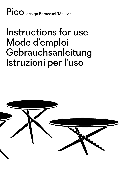Pico design Barazzuol/Malisan

## Instructions for use Mode d'emploi **Gebrauchsanleitung** Istruzioni per l'uso

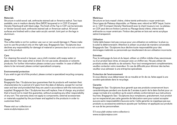#### **Materials**

Structure in solid wood: oak, anthracite stained oak or America walnut. Two tops available, one in medium density fibre (MDF) lacquered or in CDF (Compact Density Fiberboard) with black edge. The finish of the Top in CDF can be laminate or Veneer (wood) oack, anthracite stained oak or American walnut. All wood surfaces are finished with a clear satin acrylic varnish. Joint part on the legs in aluminium.

#### Usage

This coffee table is not for outdoor use; sun or rain would damage it. Please make sure to use the product only on the right way. Bragagnolo Sas / Sculptures Jeux declines any responsibility for damage of material or persons due to a not a correct use of the product.

#### Care

For cleaning the wood or lacquer, use a cloth moisten with soapy water or glass cleaner, then wipe when is dried. Do not use acids, abrasives or solvents products. For further information please contact your reseller. In case of difficult stains to be removed, please contact specialized company.

#### Environmental protection

If you wish to get rid of this product, please contact a specialized recycling company.

#### Guarantee

Bragagnolo Sas / Sculptures Jeux guarantees that its products will maintain their characteristics for a period of 2 years from the date of delivery, except for normal wear and tear and provided that they are used in accordance with the instructions supplied. Bragagnolo Sas / Sculptures Jeux will replace, free of charge, any product that is found not to meet this guarantee, without accepting any other responsibility of any sort. This warranty does not apply to components, external accessorises or materials supplied by the purchaser and applied to the products in order to customise them.

Please visit our collection at www.sculpturesjeux.com

#### **Matériaux**

Structure en bois massif: chêne, chêne teinté anthracite o noyer américain. Deux types de Plateaux disponible, un Plateau avec rebord en MDF laqué, l'autre en in CDF (Compact Density Fiberboard) avec le chant toujours noir. Le plateau en CDF peut être en finition Laminé ou Placage (bois) chêne, chêne teinté anthracite ou noyer américain. Finition des parties en bois est vernis acrylique satiné transparent.

#### Utilisation

Cette table basse n'est pas conçue pour une utilisation en extérieur, la pluie ou le soleil la détérioreraient. Attention à utiliser ce produit de manière convenable. Bragagnolo Sas / Sculptures Jeux décline toute responsabilité pour des dommages matériels ou personnels qui résulteraient de son utilisation incorrecte.

#### Entretien

Pour le nettoyage du bois et du laqué, utiliser un chiffon imbibe d'eau savonneuse ou d'un produit lave vitres, et essuyer avec un chiffon sec. Ne pas utiliser de produits acides, abrasifs ou de solvants. Pour tout renseignement complémentaire, veuillez contacter votre revendeur. En cas de difficulté pour éliminer des taches veuillez-vous adresser à une entreprise spécialisée.

#### Protection de l'environnement

Si vous désirez vous débarrasser de ce meuble en fin de vie, faites appel à une société spécialisée dans le recyclage.

#### Garantie

Bragagnolo Sas / Sculptures Jeux garantit que ses produits conserveront leurs caractéristiques pendant une durée de 2 années à partir de la date d'achat pour un usage normale et à condition qu'ils soient utilisés conformément aux instructions fournies. Bragagnolo Sas / Sculptures Jeux remplacera, gratuitement, tout produit qui ne respecterait pas cette garantie de fabrication sans pour autant accepter aucune autre responsabilité d'aucune sorte. Cette garantie ne s'applique pas aux produits ou accessoires extérieurs ajoutés par l'acheteur et appliqués aux produits en vue de les personnaliser.

S'il vous plaît visitez notre collection à www.sculpturesjeux.com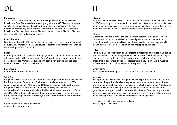#### Materialien

Gestell aus Massivholz: Eiche, Eiche anthrazit gebeizt und amerikanischem Nussbaum. Zwei Platten stehen zu Verfügung, eine aus MDF Mattlack und eine aus CDF (Compact Density Fiberboard) erhaeltlich in allen Laminat Farben oder in Fournier (Holz) Eiche, anthrazit gebeizter Eiche oder amerikanischem Nussbaum. Die seitliche Kante der Platte ist immer schwarz. Alle Holz Flächen sind mit mattem Acryl-Lack gefinished.

#### Einsatzbereich

Nur für Innenbereich. Bitte stellen Sie sicher, dass das Produkt ordnungsgemäß benutzt wird. Bragagnolo Sas / Sculptures Jeux lehnt jede Verantwortlichkeit ab bei unsachgemäßem Gebrauch.

#### Pflege

Nur mit pflegenden, fettlösenden Reinigungsmitteln behandeln, keine atzenden oder scheuenden Mittel verwenden. Für ergänzende Informationen steht Ihnen der Verkäufer der Ware zur Verfügung. Um starke Verfleckung zu beseitigen bedienen Sie sich eines Spezialbetriebs.

### Entsorgung

Nur über Fachbetrieb zu entsorgen.

### Garantie

Bragagnolo Sas / Sculptures Jeux garantiert das originäre Erscheinungsbild seiner Produkte für einen Zeitraum von 2 Jahren nach Auslieferungsdatum ab Werk, sofern diese gemäß den Montage- und Pflegeanweisungen behandelt werden. Bragagnolo Sas / Sculptures Jeux ersetzt kostenfrei jedes Produkt, dass nachweisbare Schäden aufweist, die auf fehlerhafte Herstellung zurückzuführen sind. Diese Garantie bezieht sich nicht auf Komponenten zur Herstellung des Produkts bzw. zugelieferte Materialien, die dem Garantiebereich des Zulieferers zuzuordnen sind.

Bitte besuchen Sie unsere Sammlung www.sculpturesjeux.com

#### **Materiali**

Struttura in legno massello rovere, in rovere tinto antracite o noce canaletto. Piano in MDF laccato opaco oppure in cdf con bordo nero rivestito in laminato di diversi colori o con essenza di rovere, rovere tinto o noce canaletto. Finitura delle parti in legno con vernice acrilica trasparente opaca. Giunto gambe in alluminio.

#### Utilizzo

Questo tavolino non è concepito per un utilizzo esterno; la pioggia o il sole lo deteriorerebbe. Si raccomanda di utilizzare il prodotto esclusivamente per gli impieghi previsti. Bragagnolo Sas / Sculptures Jeux declina ogni responsabilità a danni causati a cose o persone da un uso improprio del prodotto.

#### Pulizia

Per la pulizia delle superfici in legno o laccato si raccomanda l'utilizzo di un panno morbido e umido con un detergente neutro e delicato. Quindi lasciare asciugare. Non utilizzare prodotti acidi, abrasivi o solventi. Per ulteriori informazioni Vi preghiamo di consultare il Vostro concessionario di fiducia. In caso di macchie difficili da rimuovere rivolgetevi ad aziende specializzate.

#### **Smaltimento**

Per lo smaltimento rivolgersi ad una ditta autorizzata al riciclaggio.

#### Garanzia

Bragagnolo Sas / Sculptures Jeux garantisce che i prodotti manterranno le loro caratteristiche per 2 anni dalla consegna, salvo normale usura ed a condizione che vengano utilizzati secondo le indicazioni fornite. Bragagnolo Sas / Sculptures Jeux sostituirà senza spese ogni prodotto riscontrato non conforme a detta garanzia, senza sopportare altra responsabilità di sorta. È esclusa l'applicazione della garanzia su componenti, accessori esterni o materiali forniti dal compratore e applicati ai prodotti ai fini di una personalizzazione degli stessi.

Per vedere la nostra collezione, visita il sito www.sculpturesjeux.com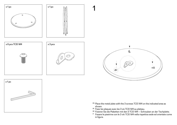



1









- EN Place the metal plate with the 3 screws TCEI M4 on the indicated area as shown.
- FR Fixez les plaques avec les 3 vis TCEI M4 au plateau.
- DE Fixieren Sie die Plaketten mit den 3 TCEI M4 – Schrauben an der Tischplatte.
- IT Fissare le piastrine con le 3 viti TCEI M4 nella rispettiva sede ed orientate come in figura.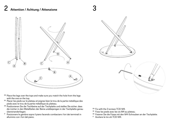## 2 **Attention / Achtung / Attenzione** 3





- EN Place the legs over the tops and make sure you match the hole from the legs with the one on the top.
- FR Placer les pieds sur le plateau et joignez bien le trou de la partie métallique des pieds avec le trou de la partie métallique du plateau.
- <sup>DE</sup> Positionieren Sie die Tischbeine auf der Tischplatte und stellen Sie sicher, dass die Löcher in den Metallteilen der Beine unddiejenigen in der Tischplatte genau übereinanderliegen.
- <sup>IT</sup> Posizionare le gambre sopra il piano facendo combaciare i fori dei terminali in alluminio con i fori del piano.
- EN Fix with the 3 screws TCEI M4.
- FR Fixez les pieds avec les vis M4 au plateau.
- DE Fixieren Sie die Füsse mit den M4-Schrauben an der Tischplatte.
- IT Avvitare le tre viti TCEI M4.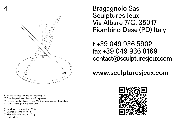

EN Fix the three grains M5 on the joint part.

- FR Fixez les pieds avec les vis M5 au plateau.
- <sup>DE</sup> Fixieren Sie die Füsse mit den M5-Schrauben an der Tischplatte.
- <sup>IT</sup> Avvitare i tre grani M5 nel giunto.
- EN Can hold maximum 5 kg (11 lbs)
- FR Charge maximale de 5 kg
- DE IT Maximale belastung von 5 kg Portata 5 kg

Bragagnolo Sas Sculptures Jeux Via Albare 7/C, 35017 Piombino Dese (PD) Italy

t +39 049 936 5902 fax +39 049 936 8169 contact@sculpturesjeux.com

www.sculpturesjeux.com